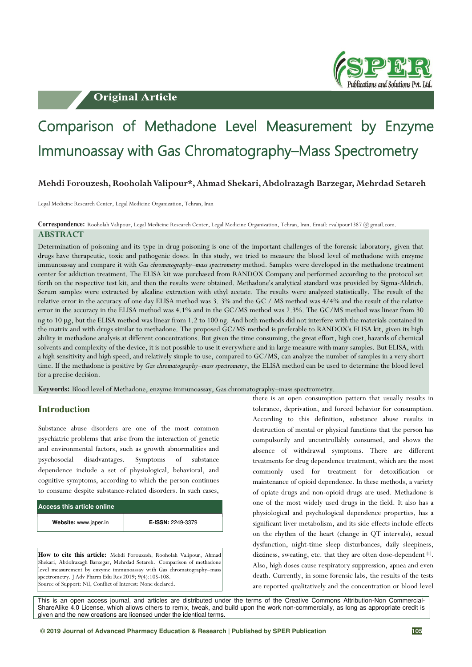**Original Article** 



# Comparison of Methadone Level Measurement by Enzyme Immunoassay with Gas Chromatography–Mass Spectrometry

## **Mehdi Forouzesh, Rooholah Valipour\*, Ahmad Shekari, Abdolrazagh Barzegar, Mehrdad Setareh**

Legal Medicine Research Center, Legal Medicine Organization, Tehran, Iran

**Correspondence:** Rooholah Valipour, Legal Medicine Research Center, Legal Medicine Organization, Tehran, Iran. Email: rvalipour1387 @ gmail.com.

# **ABSTRACT**

Determination of poisoning and its type in drug poisoning is one of the important challenges of the forensic laboratory, given that drugs have therapeutic, toxic and pathogenic doses. In this study, we tried to measure the blood level of methadone with enzyme immunoassay and compare it with *Gas chromatography*–*mass spectrometry* method. Samples were developed in the methadone treatment center for addiction treatment. The ELISA kit was purchased from RANDOX Company and performed according to the protocol set forth on the respective test kit, and then the results were obtained. Methadone's analytical standard was provided by Sigma-Aldrich. Serum samples were extracted by alkaline extraction with ethyl acetate. The results were analyzed statistically. The result of the relative error in the accuracy of one day ELISA method was 3. 3% and the GC / MS method was 4/4% and the result of the relative error in the accuracy in the ELISA method was 4.1% and in the GC/MS method was 2.3%. The GC/MS method was linear from 30 ng to 10 μg, but the ELISA method was linear from 1.2 to 100 ng. And both methods did not interfere with the materials contained in the matrix and with drugs similar to methadone. The proposed GC/MS method is preferable to RANDOX's ELISA kit, given its high ability in methadone analysis at different concentrations. But given the time consuming, the great effort, high cost, hazards of chemical solvents and complexity of the device, it is not possible to use it everywhere and in large measure with many samples. But ELISA, with a high sensitivity and high speed, and relatively simple to use, compared to GC/MS, can analyze the number of samples in a very short time. If the methadone is positive by *Gas chromatography*–*mass spectrometry*, the ELISA method can be used to determine the blood level for a precise decision.

**Keywords:** Blood level of Methadone, enzyme immunoassay, Gas chromatography–mass spectrometry.

# **Introduction**

Substance abuse disorders are one of the most common psychiatric problems that arise from the interaction of genetic and environmental factors, such as growth abnormalities and psychosocial disadvantages. Symptoms of substance dependence include a set of physiological, behavioral, and cognitive symptoms, according to which the person continues to consume despite substance-related disorders. In such cases,

| Access this article online |                   |
|----------------------------|-------------------|
| Website: www.japer.in      | E-ISSN: 2249-3379 |

**How to cite this article:** Mehdi Forouzesh, Rooholah Valipour, Ahmad Shekari, Abdolrazagh Barzegar, Mehrdad Setareh. Comparison of methadone level measurement by enzyme immunoassay with Gas chromatography–mass spectrometry. J Adv Pharm Edu Res 2019; 9(4):105-108. Source of Support: Nil, Conflict of Interest: None declared.

there is an open consumption pattern that usually results in tolerance, deprivation, and forced behavior for consumption. According to this definition, substance abuse results in destruction of mental or physical functions that the person has compulsorily and uncontrollably consumed, and shows the absence of withdrawal symptoms. There are different treatments for drug dependence treatment, which are the most commonly used for treatment for detoxification or maintenance of opioid dependence. In these methods, a variety of opiate drugs and non-opioid drugs are used. Methadone is one of the most widely used drugs in the field. It also has a physiological and psychological dependence properties, has a significant liver metabolism, and its side effects include effects on the rhythm of the heart (change in QT intervals), sexual dysfunction, night-time sleep disturbances, daily sleepiness, dizziness, sweating, etc. that they are often dose-dependent [1]. Also, high doses cause respiratory suppression, apnea and even death. Currently, in some forensic labs, the results of the tests are reported qualitatively and the concentration or blood level

This is an open access journal, and articles are distributed under the terms of the Creative Commons Attribution-Non Commercial-ShareAlike 4.0 License, which allows others to remix, tweak, and build upon the work non-commercially, as long as appropriate credit is given and the new creations are licensed under the identical terms.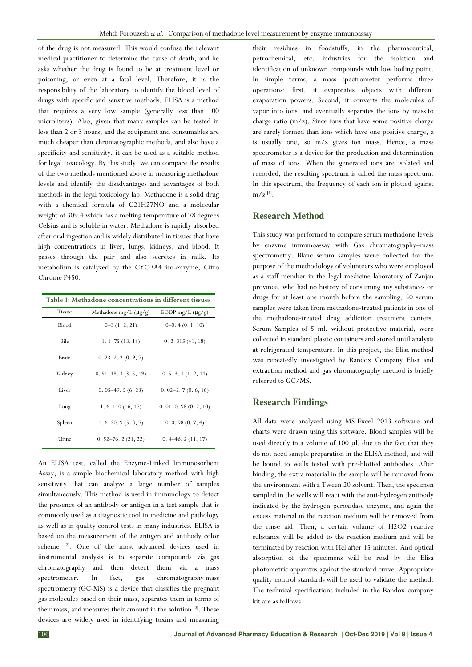of the drug is not measured. This would confuse the relevant medical practitioner to determine the cause of death, and he asks whether the drug is found to be at treatment level or poisoning, or even at a fatal level. Therefore, it is the responsibility of the laboratory to identify the blood level of drugs with specific and sensitive methods. ELISA is a method that requires a very low sample (generally less than 100 microliters). Also, given that many samples can be tested in less than 2 or 3 hours, and the equipment and consumables are much cheaper than chromatographic methods, and also have a specificity and sensitivity, it can be used as a suitable method for legal toxicology. By this study, we can compare the results of the two methods mentioned above in measuring methadone levels and identify the disadvantages and advantages of both methods in the legal toxicology lab. Methadone is a solid drug with a chemical formula of C21H27NO and a molecular weight of 309.4 which has a melting temperature of 78 degrees Celsius and is soluble in water. Methadone is rapidly absorbed after oral ingestion and is widely distributed in tissues that have high concentrations in liver, lungs, kidneys, and blood. It passes through the pair and also secretes in milk. Its metabolism is catalyzed by the CYO3A4 iso-enzyme, Citro Chrome P450.

| Table 1: Methadone concentrations in different tissues |                            |                       |  |  |  |  |
|--------------------------------------------------------|----------------------------|-----------------------|--|--|--|--|
| <b>Tissue</b>                                          | Methadone mg/L $(\mu g/g)$ | EDDP mg/L $(\mu g/g)$ |  |  |  |  |
| Blood                                                  | $0-3(1, 2, 21)$            | $0-0.4(0.1, 10)$      |  |  |  |  |
| Bile                                                   | $1.1 - 75(13, 18)$         | $0.2 - 315(41, 18)$   |  |  |  |  |
| Brain                                                  | $0.23 - 2.2(0.9, 7)$       |                       |  |  |  |  |
| Kidney                                                 | $0.51 - 18.3(3.5, 19)$     | $0.5-3.1(1.2, 14)$    |  |  |  |  |
| Liver                                                  | $0.05-49.5(6, 23)$         | $0.02-2.7(0.6, 16)$   |  |  |  |  |
| Lung                                                   | $1.6 - 110(16, 17)$        | $0.01-0.98(0.2, 10)$  |  |  |  |  |
| Spleen                                                 | $1.6 - 20.9(5.3, 7)$       | $0-0.98(0.7, 4)$      |  |  |  |  |
| Urine                                                  | $0.52 - 76.2(21, 22)$      | $0.4 - 46.2(11, 17)$  |  |  |  |  |

An ELISA test, called the Enzyme-Linked Immunosorbent Assay, is a simple biochemical laboratory method with high sensitivity that can analyze a large number of samples simultaneously. This method is used in immunology to detect the presence of an antibody or antigen in a test sample that is commonly used as a diagnostic tool in medicine and pathology as well as in quality control tests in many industries. ELISA is based on the measurement of the antigen and antibody color scheme [2]. One of the most advanced devices used in iinstrumental analysis is to separate compounds via gas chromatography and then detect them via a mass spectrometer. In fact, gas chromatography mass spectrometry (GC-MS) is a device that classifies the pregnant gas molecules based on their mass, separates them in terms of their mass, and measures their amount in the solution [3]. These devices are widely used in identifying toxins and measuring

their residues in foodstuffs, in the pharmaceutical, petrochemical, etc. industries for the isolation and identification of unknown compounds with low boiling point. In simple terms, a mass spectrometer performs three operations: first, it evaporates objects with different evaporation powers. Second, it converts the molecules of vapor into ions, and eventually separates the ions by mass to charge ratio (m/z). Since ions that have some positive charge are rarely formed than ions which have one positive charge, z is usually one, so m/z gives ion mass. Hence, a mass spectrometer is a device for the production and determination of mass of ions. When the generated ions are isolated and recorded, the resulting spectrum is called the mass spectrum. In this spectrum, the frequency of each ion is plotted against  $m/z$  [4].

#### **Research Method**

This study was performed to compare serum methadone levels by enzyme immunoassay with Gas chromatography–mass spectrometry. Blanc serum samples were collected for the purpose of the methodology of volunteers who were employed as a staff member in the legal medicine laboratory of Zanjan province, who had no history of consuming any substances or drugs for at least one month before the sampling. 50 serum samples were taken from methadone-treated patients in one of the methadone-treated drug addiction treatment centers. Serum Samples of 5 ml, without protective material, were collected in standard plastic containers and stored until analysis at refrigerated temperature. In this project, the Elisa method was repeatedly investigated by Randox Company Elisa and extraction method and gas chromatography method is briefly referred to GC/MS.

#### **Research Findings**

All data were analyzed using MS-Excel 2013 software and charts were drawn using this software. Blood samples will be used directly in a volume of 100 μl, due to the fact that they do not need sample preparation in the ELISA method, and will be bound to wells tested with pre-blotted antibodies. After binding, the extra material in the sample will be removed from the environment with a Tween 20 solvent. Then, the specimen sampled in the wells will react with the anti-hydrogen antibody indicated by the hydrogen peroxidase enzyme, and again the excess material in the reaction medium will be removed from the rinse aid. Then, a certain volume of H2O2 reactive substance will be added to the reaction medium and will be terminated by reaction with Hcl after 15 minutes. And optical absorption of the specimens will be read by the Elisa photometric apparatus against the standard curve. Appropriate quality control standards will be used to validate the method. The technical specifications included in the Randox company kit are as follows.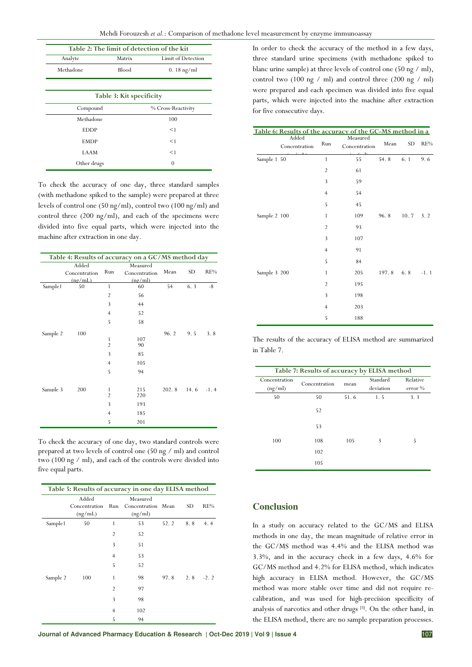| Mehdi Forouzesh et al.: Comparison of methadone level measurement by enzyme immunoassay |  |  |  |
|-----------------------------------------------------------------------------------------|--|--|--|
|                                                                                         |  |  |  |

| Table 2: The limit of detection of the kit |                       |                    |  |  |  |  |
|--------------------------------------------|-----------------------|--------------------|--|--|--|--|
| Analyte                                    | Matrix                | Limit of Detection |  |  |  |  |
| Methadone                                  | Blood<br>$0.18$ ng/ml |                    |  |  |  |  |
|                                            |                       |                    |  |  |  |  |
| Table 3: Kit specificity                   |                       |                    |  |  |  |  |
| Compound                                   |                       | % Cross-Reactivity |  |  |  |  |
| Methadone                                  |                       | 100                |  |  |  |  |
| <b>EDDP</b>                                |                       | $<$ 1              |  |  |  |  |
| <b>EMDP</b>                                |                       | $<$ 1              |  |  |  |  |
| LAAM                                       |                       | $<$ 1              |  |  |  |  |
| Other drugs                                |                       | $\Omega$           |  |  |  |  |

To check the accuracy of one day, three standard samples (with methadone spiked to the sample) were prepared at three levels of control one (50 ng/ml), control two (100 ng/ml) and control three (200 ng/ml), and each of the specimens were divided into five equal parts, which were injected into the machine after extraction in one day.

| Table 4: Results of accuracy on a GC/MS method day |               |                |               |            |           |        |
|----------------------------------------------------|---------------|----------------|---------------|------------|-----------|--------|
|                                                    | Added         |                | Measured      |            |           |        |
|                                                    | Concentration | Run            | Concentration | Mean       | <b>SD</b> | RE%    |
|                                                    | (ng/mL)       |                | (np/ml)       |            |           |        |
| Sample1                                            | 50            | $\mathbf{1}$   | 60            | 54         | 6.3       | -8     |
|                                                    |               | $\overline{2}$ | 56            |            |           |        |
|                                                    |               | 3              | 44            |            |           |        |
|                                                    |               | $\overline{4}$ | 52            |            |           |        |
|                                                    |               | 5              | 58            |            |           |        |
| Sample 2                                           | 100           |                |               | 96.2       | 9.5       | 3.8    |
|                                                    |               | 1              | 107           |            |           |        |
|                                                    |               | $\overline{2}$ | 90            |            |           |        |
|                                                    |               | 3              | 85            |            |           |        |
|                                                    |               | $\overline{4}$ | 105           |            |           |        |
|                                                    |               | 5              | 94            |            |           |        |
|                                                    |               |                |               |            |           |        |
| Sample 3                                           | 200           | 1              | 215           | 202.8 14.6 |           | $-1.4$ |
|                                                    |               | $\overline{2}$ | 220           |            |           |        |
|                                                    |               | 3              | 193           |            |           |        |
|                                                    |               | $\overline{4}$ | 185           |            |           |        |
|                                                    |               | 5              | 201           |            |           |        |

To check the accuracy of one day, two standard controls were prepared at two levels of control one (50 ng / ml) and control two (100 ng / ml), and each of the controls were divided into five equal parts.

| Table 5: Results of accuracy in one day ELISA method |                                   |                |                                           |      |     |        |
|------------------------------------------------------|-----------------------------------|----------------|-------------------------------------------|------|-----|--------|
|                                                      | Added<br>Concentration<br>(ng/mL) | Run            | Measured<br>Concentration Mean<br>(ng/ml) |      | SD. | RE%    |
| Sample1                                              | 50                                | 1              | 53                                        | 52.2 | 8.8 | 4.4    |
|                                                      |                                   | $\overline{2}$ | 52                                        |      |     |        |
|                                                      |                                   | 3              | 51                                        |      |     |        |
|                                                      |                                   | $\overline{4}$ | 53                                        |      |     |        |
|                                                      |                                   | 5              | 52                                        |      |     |        |
| Sample 2                                             | 100                               | 1              | 98                                        | 97.8 | 2.8 | $-2.2$ |
|                                                      |                                   | $\overline{2}$ | 97                                        |      |     |        |
|                                                      |                                   | 3              | 98                                        |      |     |        |
|                                                      |                                   | $\overline{4}$ | 102                                       |      |     |        |
|                                                      |                                   | 5              | 94                                        |      |     |        |

In order to check the accuracy of the method in a few days, three standard urine specimens (with methadone spiked to blanc urine sample) at three levels of control one (50 ng / ml), control two (100 ng / ml) and control three (200 ng / ml) were prepared and each specimen was divided into five equal parts, which were injected into the machine after extraction for five consecutive days.

### **Table 6: Results of the accuracy of the GC-MS method in a**

|              | Added<br>Concentration | Run            | Measured<br>Concentration | Mean  | SD    | RE%    |
|--------------|------------------------|----------------|---------------------------|-------|-------|--------|
| Sample 1 50  |                        | $\mathbf{1}$   | 55                        | 54.8  | 6.1   | 9.6    |
|              |                        | $\overline{2}$ | 61                        |       |       |        |
|              |                        | 3              | 59                        |       |       |        |
|              |                        | $\overline{4}$ | 54                        |       |       |        |
|              |                        | 5              | 45                        |       |       |        |
| Sample 2 100 |                        | $\mathbf{1}$   | 109                       | 96.8  | 10.7  | 3.2    |
|              |                        | $\overline{2}$ | 93                        |       |       |        |
|              |                        | 3              | 107                       |       |       |        |
|              |                        | $\overline{4}$ | 91                        |       |       |        |
|              |                        | 5              | 84                        |       |       |        |
| Sample 3 200 |                        | $\mathbf{1}$   | 205                       | 197.8 | $6.8$ | $-1.1$ |
|              |                        | $\overline{2}$ | 195                       |       |       |        |
|              |                        | 3              | 198                       |       |       |        |
|              |                        | $\overline{4}$ | 203                       |       |       |        |
|              |                        | 5              | 188                       |       |       |        |

The results of the accuracy of ELISA method are summarized in Table 7.

| Table 7: Results of accuracy by ELISA method |               |      |           |           |  |  |
|----------------------------------------------|---------------|------|-----------|-----------|--|--|
| Concentration                                | Concentration | mean |           | Relative  |  |  |
| (ng/ml)                                      |               |      | deviation | $error\%$ |  |  |
| 50                                           | 50            | 51.6 | 1.5       | 3.3       |  |  |
|                                              | 52            |      |           |           |  |  |
|                                              | 53            |      |           |           |  |  |
| 100                                          | 108           | 105  | 3         | 5         |  |  |
|                                              | 102           |      |           |           |  |  |
|                                              | 105           |      |           |           |  |  |

# **Conclusion**

In a study on accuracy related to the GC/MS and ELISA methods in one day, the mean magnitude of relative error in the GC/MS method was 4.4% and the ELISA method was 3.3%, and in the accuracy check in a few days, 4.6% for GC/MS method and 4.2% for ELISA method, which indicates high accuracy in ELISA method. However, the GC/MS method was more stable over time and did not require recalibration, and was used for high-precision specificity of analysis of narcotics and other drugs [5]. On the other hand, in the ELISA method, there are no sample preparation processes.